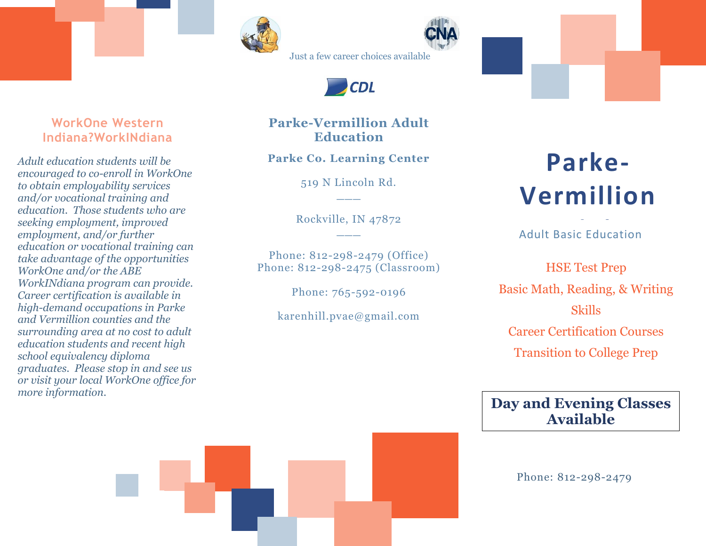



Just a few career choices available



#### **WorkOne Western Indiana?WorkINdiana**

*Adult education students will be encouraged to co-enroll in WorkOne to obtain employability services and/or vocational training and education. Those students who are seeking employment, improved employment, and/or further education or vocational training can take advantage of the opportunities WorkOne and/or the ABE WorkINdiana program can provide. Career certification is available in high-demand occupations in Parke and Vermillion counties and the surrounding area at no cost to adult education students and recent high school equivalency diploma graduates. Please stop in and see us or visit your local WorkOne office for more information.*

#### **Parke-Vermillion Adult Education**

**Parke Co. Learning Center**

519 N Lincoln Rd. **\_\_\_**

Rockville, IN 47872 **\_\_\_**

Phone: 812-298-2479 (Office) Phone: 812-298-2475 (Classroom)

Phone: 765-592-0196

karenhill.pvae@gmail.com

# **Parke-Vermillion**

Adult Basic Education **Adult** 

**HSE Test Prep** Basic Math, Reading, & Writing Skills Career Certification Courses Transition to College Prep

### **Day and Evening Classes Available**

Phone: 812-298-2479